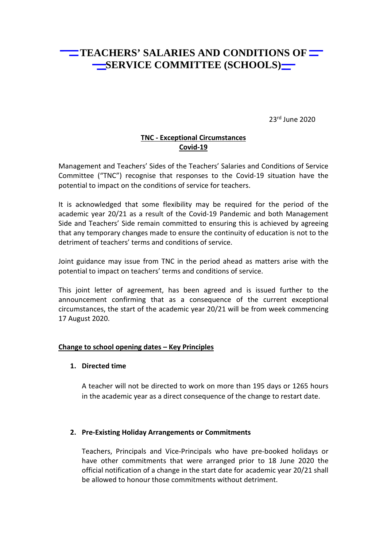# **TEACHERS' SALARIES AND CONDITIONS OF THE** SERVICE COMMITTEE (SCHOOLS)

23rd June 2020

## **TNC - Exceptional Circumstances Covid-19**

Management and Teachers' Sides of the Teachers' Salaries and Conditions of Service Committee ("TNC") recognise that responses to the Covid-19 situation have the potential to impact on the conditions of service for teachers.

It is acknowledged that some flexibility may be required for the period of the academic year 20/21 as a result of the Covid-19 Pandemic and both Management Side and Teachers' Side remain committed to ensuring this is achieved by agreeing that any temporary changes made to ensure the continuity of education is not to the detriment of teachers' terms and conditions of service.

Joint guidance may issue from TNC in the period ahead as matters arise with the potential to impact on teachers' terms and conditions of service.

This joint letter of agreement, has been agreed and is issued further to the announcement confirming that as a consequence of the current exceptional circumstances, the start of the academic year 20/21 will be from week commencing 17 August 2020.

### **Change to school opening dates – Key Principles**

### **1. Directed time**

A teacher will not be directed to work on more than 195 days or 1265 hours in the academic year as a direct consequence of the change to restart date.

### **2. Pre-Existing Holiday Arrangements or Commitments**

Teachers, Principals and Vice-Principals who have pre-booked holidays or have other commitments that were arranged prior to 18 June 2020 the official notification of a change in the start date for academic year 20/21 shall be allowed to honour those commitments without detriment.